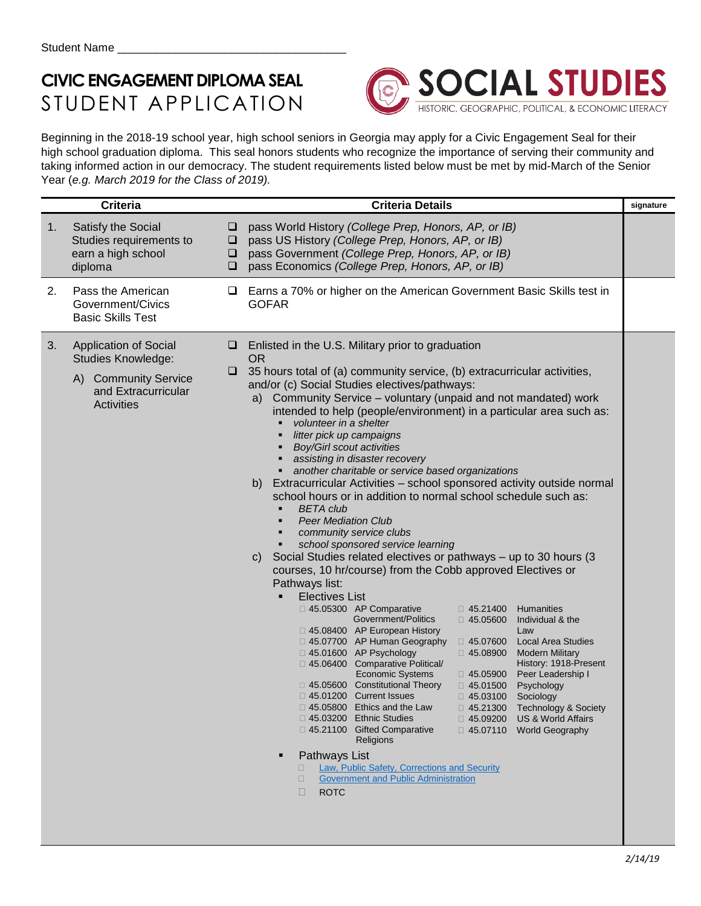## **CIVIC ENGAGEMENT DIPLOMA SEAL** STUDENT APPLICATION



Beginning in the 2018-19 school year, high school seniors in Georgia may apply for a Civic Engagement Seal for their high school graduation diploma. This seal honors students who recognize the importance of serving their community and taking informed action in our democracy. The student requirements listed below must be met by mid-March of the Senior Year (*e.g. March 2019 for the Class of 2019).*

|    | <b>Criteria</b>                                                                                                        |                            | <b>Criteria Details</b>                                                                                                                                                                                                                                                                                                                                                                                                                                                                                                                                                                                                                                                                                                                                                                                                                                                                                                                                                                                                                                                                                                                                                                                                                                                                                                                                                                                                                                                                                                                                                                                                                                                                                                                                                                                                                                                                                                                 | signature |
|----|------------------------------------------------------------------------------------------------------------------------|----------------------------|-----------------------------------------------------------------------------------------------------------------------------------------------------------------------------------------------------------------------------------------------------------------------------------------------------------------------------------------------------------------------------------------------------------------------------------------------------------------------------------------------------------------------------------------------------------------------------------------------------------------------------------------------------------------------------------------------------------------------------------------------------------------------------------------------------------------------------------------------------------------------------------------------------------------------------------------------------------------------------------------------------------------------------------------------------------------------------------------------------------------------------------------------------------------------------------------------------------------------------------------------------------------------------------------------------------------------------------------------------------------------------------------------------------------------------------------------------------------------------------------------------------------------------------------------------------------------------------------------------------------------------------------------------------------------------------------------------------------------------------------------------------------------------------------------------------------------------------------------------------------------------------------------------------------------------------------|-----------|
| 1. | Satisfy the Social<br>Studies requirements to<br>earn a high school<br>diploma                                         | $\Box$<br>$\Box$<br>⊔<br>□ | pass World History (College Prep, Honors, AP, or IB)<br>pass US History (College Prep, Honors, AP, or IB)<br>pass Government (College Prep, Honors, AP, or IB)<br>pass Economics (College Prep, Honors, AP, or IB)                                                                                                                                                                                                                                                                                                                                                                                                                                                                                                                                                                                                                                                                                                                                                                                                                                                                                                                                                                                                                                                                                                                                                                                                                                                                                                                                                                                                                                                                                                                                                                                                                                                                                                                      |           |
| 2. | Pass the American<br>Government/Civics<br><b>Basic Skills Test</b>                                                     | ⊔                          | Earns a 70% or higher on the American Government Basic Skills test in<br><b>GOFAR</b>                                                                                                                                                                                                                                                                                                                                                                                                                                                                                                                                                                                                                                                                                                                                                                                                                                                                                                                                                                                                                                                                                                                                                                                                                                                                                                                                                                                                                                                                                                                                                                                                                                                                                                                                                                                                                                                   |           |
| 3. | <b>Application of Social</b><br><b>Studies Knowledge:</b><br>A) Community Service<br>and Extracurricular<br>Activities | ⊔<br>u.                    | Enlisted in the U.S. Military prior to graduation<br><b>OR</b><br>35 hours total of (a) community service, (b) extracurricular activities,<br>and/or (c) Social Studies electives/pathways:<br>a) Community Service - voluntary (unpaid and not mandated) work<br>intended to help (people/environment) in a particular area such as:<br>volunteer in a shelter<br>litter pick up campaigns<br><b>Boy/Girl scout activities</b><br>assisting in disaster recovery<br>another charitable or service based organizations<br>Extracurricular Activities - school sponsored activity outside normal<br>b)<br>school hours or in addition to normal school schedule such as:<br><b>BETA club</b><br>٠<br><b>Peer Mediation Club</b><br>п<br>community service clubs<br>school sponsored service learning<br>Social Studies related electives or pathways - up to 30 hours (3<br>C)<br>courses, 10 hr/course) from the Cobb approved Electives or<br>Pathways list:<br><b>Electives List</b><br>45.05300 AP Comparative<br>Humanities<br>$\Box$ 45.21400<br>Government/Politics<br>Individual & the<br>$\Box$ 45.05600<br>$\Box$ 45.08400 AP European History<br>Law<br>45.07700 AP Human Geography<br><b>Local Area Studies</b><br>$\Box$ 45.07600<br>$\Box$ 45.01600 AP Psychology<br>$\Box$ 45.08900 Modern Military<br>History: 1918-Present<br>□ 45.06400 Comparative Political/<br>□ 45.05900 Peer Leadership I<br>Economic Systems<br>45.05600 Constitutional Theory<br>$\Box$ 45.01500 Psychology<br>□ 45.01200 Current Issues<br>$\Box$ 45.03100<br>Sociology<br>$\Box$ 45.05800 Ethics and the Law<br>□ 45.21300 Technology & Society<br>$\Box$ 45.03200 Ethnic Studies<br>$\Box$ 45.09200 US & World Affairs<br>45.21100 Gifted Comparative<br>45.07110 World Geography<br>Religions<br>Pathways List<br>٠<br>Law, Public Safety, Corrections and Security<br><b>Government and Public Administration</b><br>0<br><b>ROTC</b><br>0 |           |